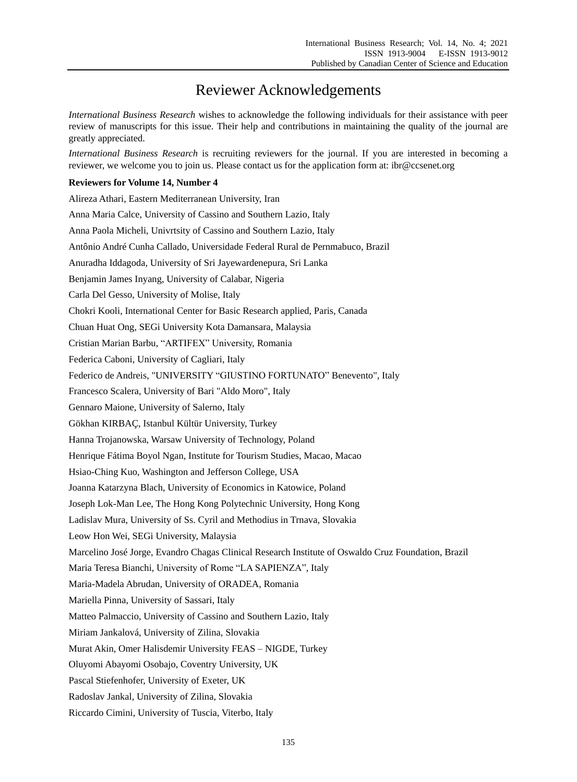## Reviewer Acknowledgements

*International Business Research* wishes to acknowledge the following individuals for their assistance with peer review of manuscripts for this issue. Their help and contributions in maintaining the quality of the journal are greatly appreciated.

*International Business Research* is recruiting reviewers for the journal. If you are interested in becoming a reviewer, we welcome you to join us. Please contact us for the application form at: ibr@ccsenet.org

## **Reviewers for Volume 14, Number 4**

Alireza Athari, Eastern Mediterranean University, Iran Anna Maria Calce, University of Cassino and Southern Lazio, Italy Anna Paola Micheli, Univrtsity of Cassino and Southern Lazio, Italy Antônio André Cunha Callado, Universidade Federal Rural de Pernmabuco, Brazil Anuradha Iddagoda, University of Sri Jayewardenepura, Sri Lanka Benjamin James Inyang, University of Calabar, Nigeria Carla Del Gesso, University of Molise, Italy Chokri Kooli, International Center for Basic Research applied, Paris, Canada Chuan Huat Ong, SEGi University Kota Damansara, Malaysia Cristian Marian Barbu, "ARTIFEX" University, Romania Federica Caboni, University of Cagliari, Italy Federico de Andreis, "UNIVERSITY "GIUSTINO FORTUNATO" Benevento", Italy Francesco Scalera, University of Bari "Aldo Moro", Italy Gennaro Maione, University of Salerno, Italy Gökhan KIRBAÇ, Istanbul Kültür University, Turkey Hanna Trojanowska, Warsaw University of Technology, Poland Henrique Fátima Boyol Ngan, Institute for Tourism Studies, Macao, Macao Hsiao-Ching Kuo, Washington and Jefferson College, USA Joanna Katarzyna Blach, University of Economics in Katowice, Poland Joseph Lok-Man Lee, The Hong Kong Polytechnic University, Hong Kong Ladislav Mura, University of Ss. Cyril and Methodius in Trnava, Slovakia Leow Hon Wei, SEGi University, Malaysia Marcelino José Jorge, Evandro Chagas Clinical Research Institute of Oswaldo Cruz Foundation, Brazil Maria Teresa Bianchi, University of Rome "LA SAPIENZA", Italy Maria-Madela Abrudan, University of ORADEA, Romania Mariella Pinna, University of Sassari, Italy Matteo Palmaccio, University of Cassino and Southern Lazio, Italy Miriam Jankalová, University of Zilina, Slovakia Murat Akin, Omer Halisdemir University FEAS – NIGDE, Turkey Oluyomi Abayomi Osobajo, Coventry University, UK Pascal Stiefenhofer, University of Exeter, UK Radoslav Jankal, University of Zilina, Slovakia Riccardo Cimini, University of Tuscia, Viterbo, Italy